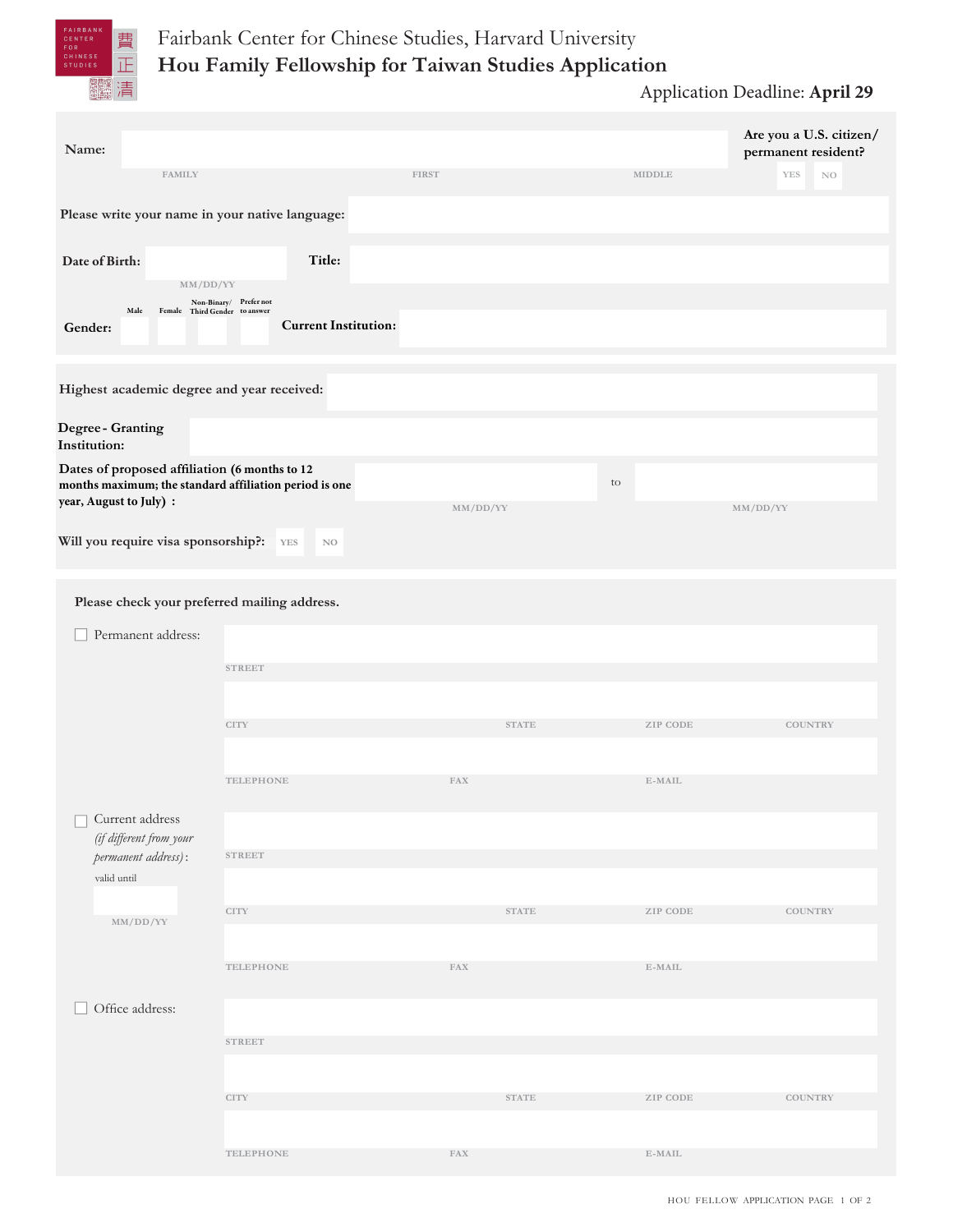

| Name:                                                                                                                              |                                                       |                        |                                | Are you a U.S. citizen/<br>permanent resident? |
|------------------------------------------------------------------------------------------------------------------------------------|-------------------------------------------------------|------------------------|--------------------------------|------------------------------------------------|
| <b>FAMILY</b>                                                                                                                      |                                                       | <b>FIRST</b>           | MIDDLE                         | YES<br>$_{\rm NO}$                             |
| Please write your name in your native language:                                                                                    |                                                       |                        |                                |                                                |
| Date of Birth:<br>MM/DD/YY                                                                                                         | Title:                                                |                        |                                |                                                |
| Male<br>Female Third Gender to answer<br>Gender:                                                                                   | Non-Binary/ Prefer not<br><b>Current Institution:</b> |                        |                                |                                                |
| Highest academic degree and year received:                                                                                         |                                                       |                        |                                |                                                |
| Degree-Granting<br>Institution:                                                                                                    |                                                       |                        |                                |                                                |
| Dates of proposed affiliation (6 months to 12<br>months maximum; the standard affiliation period is one<br>year, August to July) : |                                                       | MM/DD/YY               | to                             | MM/DD/YY                                       |
| Will you require visa sponsorship?:                                                                                                | YES<br>N <sub>O</sub>                                 |                        |                                |                                                |
| Please check your preferred mailing address.                                                                                       |                                                       |                        |                                |                                                |
| Permanent address:                                                                                                                 |                                                       |                        |                                |                                                |
|                                                                                                                                    | <b>STREET</b>                                         |                        |                                |                                                |
|                                                                                                                                    |                                                       |                        |                                |                                                |
|                                                                                                                                    | <b>CITY</b>                                           | <b>STATE</b>           | ZIP CODE                       | <b>COUNTRY</b>                                 |
|                                                                                                                                    |                                                       |                        |                                |                                                |
|                                                                                                                                    | TELEPHONE                                             | <b>FAX</b>             | $E$ -MAIL                      |                                                |
| $\hfill\Box$ Current address<br>(if different from your                                                                            |                                                       |                        |                                |                                                |
| permanent address):                                                                                                                | <b>STREET</b>                                         |                        |                                |                                                |
| valid until                                                                                                                        |                                                       |                        |                                |                                                |
| $\rm MM/DD/YY$                                                                                                                     | <b>CITY</b>                                           | $\operatorname{STATE}$ | ZIP CODE                       | <b>COUNTRY</b>                                 |
|                                                                                                                                    | TELEPHONE                                             | ${\rm FAX}$            | $\operatorname{\mathbb{E-ML}}$ |                                                |
| Office address:                                                                                                                    |                                                       |                        |                                |                                                |
|                                                                                                                                    | <b>STREET</b>                                         |                        |                                |                                                |
|                                                                                                                                    | <b>CITY</b>                                           | $\operatorname{STATE}$ | ZIP CODE                       | <b>COUNTRY</b>                                 |
|                                                                                                                                    |                                                       |                        |                                |                                                |
|                                                                                                                                    | TELEPHONE                                             | ${\rm FAX}$            | $\operatorname{E-MAIL}$        |                                                |